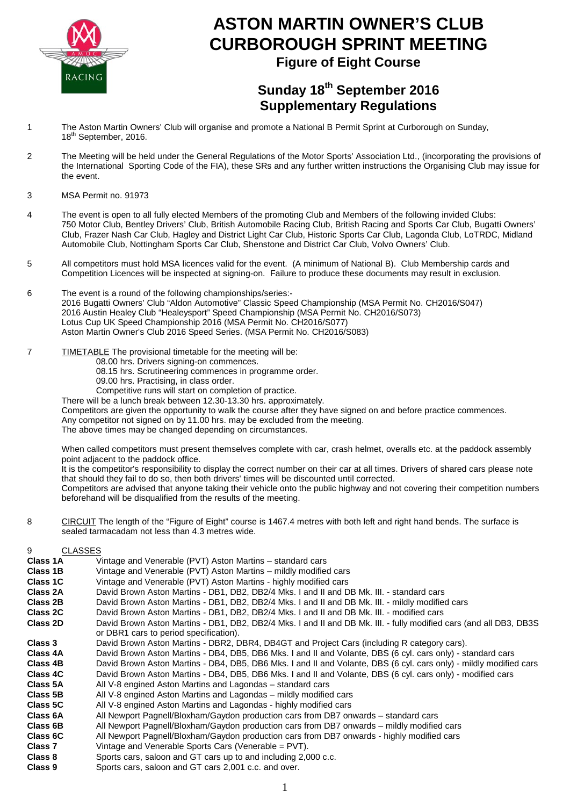

# **ASTON MARTIN OWNER'S CLUB CURBOROUGH SPRINT MEETING Figure of Eight Course**

## **Sunday 18th September 2016 Supplementary Regulations**

- 1 The Aston Martin Owners' Club will organise and promote a National B Permit Sprint at Curborough on Sunday, 18<sup>th</sup> September, 2016.
- 2 The Meeting will be held under the General Regulations of the Motor Sports' Association Ltd., (incorporating the provisions of the International Sporting Code of the FIA), these SRs and any further written instructions the Organising Club may issue for the event.
- 3 MSA Permit no. 91973
- 4 The event is open to all fully elected Members of the promoting Club and Members of the following invided Clubs: 750 Motor Club, Bentley Drivers' Club, British Automobile Racing Club, British Racing and Sports Car Club, Bugatti Owners' Club, Frazer Nash Car Club, Hagley and District Light Car Club, Historic Sports Car Club, Lagonda Club, LoTRDC, Midland Automobile Club, Nottingham Sports Car Club, Shenstone and District Car Club, Volvo Owners' Club.
- 5 All competitors must hold MSA licences valid for the event. (A minimum of National B). Club Membership cards and Competition Licences will be inspected at signing-on. Failure to produce these documents may result in exclusion.
- 6 The event is a round of the following championships/series:- 2016 Bugatti Owners' Club "Aldon Automotive" Classic Speed Championship (MSA Permit No. CH2016/S047) 2016 Austin Healey Club "Healeysport" Speed Championship (MSA Permit No. CH2016/S073) Lotus Cup UK Speed Championship 2016 (MSA Permit No. CH2016/S077) Aston Martin Owner's Club 2016 Speed Series. (MSA Permit No. CH2016/S083)
- 7 TIMETABLE The provisional timetable for the meeting will be:
	- 08.00 hrs. Drivers signing-on commences.
	- 08.15 hrs. Scrutineering commences in programme order.
	- 09.00 hrs. Practising, in class order.
	- Competitive runs will start on completion of practice.

There will be a lunch break between 12.30-13.30 hrs. approximately.

Competitors are given the opportunity to walk the course after they have signed on and before practice commences. Any competitor not signed on by 11.00 hrs. may be excluded from the meeting.

The above times may be changed depending on circumstances.

When called competitors must present themselves complete with car, crash helmet, overalls etc. at the paddock assembly point adjacent to the paddock office.

It is the competitor's responsibility to display the correct number on their car at all times. Drivers of shared cars please note that should they fail to do so, then both drivers' times will be discounted until corrected.

Competitors are advised that anyone taking their vehicle onto the public highway and not covering their competition numbers beforehand will be disqualified from the results of the meeting.

8 CIRCUIT The length of the "Figure of Eight" course is 1467.4 metres with both left and right hand bends. The surface is sealed tarmacadam not less than 4.3 metres wide.

| 9                  | CLASSES                                                                                                            |
|--------------------|--------------------------------------------------------------------------------------------------------------------|
| Class 1A           | Vintage and Venerable (PVT) Aston Martins – standard cars                                                          |
| Class 1B           | Vintage and Venerable (PVT) Aston Martins – mildly modified cars                                                   |
| Class 1C           | Vintage and Venerable (PVT) Aston Martins - highly modified cars                                                   |
| Class 2A           | David Brown Aston Martins - DB1, DB2, DB2/4 Mks. I and II and DB Mk. III. - standard cars                          |
| Class 2B           | David Brown Aston Martins - DB1, DB2, DB2/4 Mks. I and II and DB Mk. III. - mildly modified cars                   |
| Class 2C           | David Brown Aston Martins - DB1, DB2, DB2/4 Mks. I and II and DB Mk. III. - modified cars                          |
| Class 2D           | David Brown Aston Martins - DB1, DB2, DB2/4 Mks. I and II and DB Mk. III. - fully modified cars (and all DB3, DB3S |
|                    | or DBR1 cars to period specification).                                                                             |
| Class 3            | David Brown Aston Martins - DBR2, DBR4, DB4GT and Project Cars (including R category cars).                        |
| Class 4A           | David Brown Aston Martins - DB4, DB5, DB6 Mks. I and II and Volante, DBS (6 cyl. cars only) - standard cars        |
| Class 4B           | David Brown Aston Martins - DB4, DB5, DB6 Mks. I and II and Volante, DBS (6 cyl. cars only) - mildly modified cars |
| Class 4C           | David Brown Aston Martins - DB4, DB5, DB6 Mks. I and II and Volante, DBS (6 cyl. cars only) - modified cars        |
| Class 5A           | All V-8 engined Aston Martins and Lagondas – standard cars                                                         |
| Class 5B           | All V-8 engined Aston Martins and Lagondas – mildly modified cars                                                  |
| Class 5C           | All V-8 engined Aston Martins and Lagondas - highly modified cars                                                  |
| Class 6A           | All Newport Pagnell/Bloxham/Gaydon production cars from DB7 onwards – standard cars                                |
| Class 6B           | All Newport Pagnell/Bloxham/Gaydon production cars from DB7 onwards - mildly modified cars                         |
| Class 6C           | All Newport Pagnell/Bloxham/Gaydon production cars from DB7 onwards - highly modified cars                         |
| Class <sub>7</sub> | Vintage and Venerable Sports Cars (Venerable = PVT).                                                               |
| Class 8            | Sports cars, saloon and GT cars up to and including 2,000 c.c.                                                     |
| Class 9            | Sports cars, saloon and GT cars 2,001 c.c. and over.                                                               |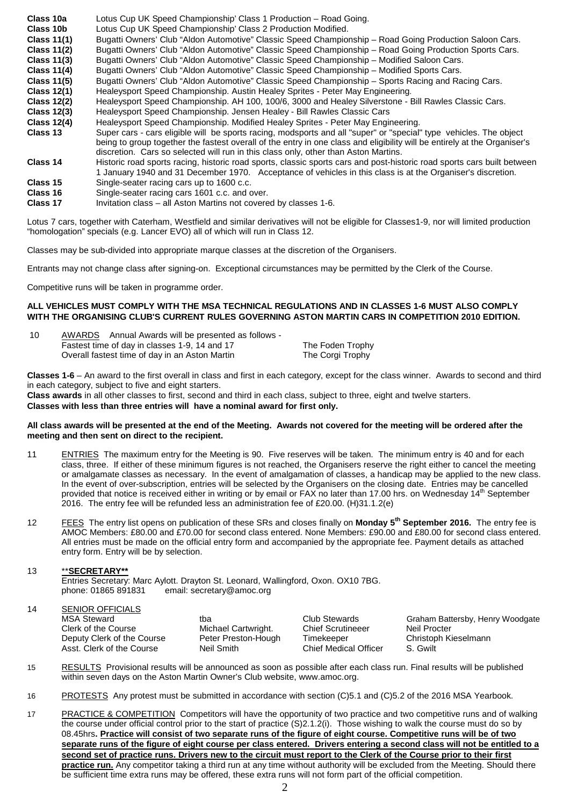| Class 10a          | Lotus Cup UK Speed Championship' Class 1 Production - Road Going.                                                                                                                                                                                                                                                                      |
|--------------------|----------------------------------------------------------------------------------------------------------------------------------------------------------------------------------------------------------------------------------------------------------------------------------------------------------------------------------------|
| Class 10b          | Lotus Cup UK Speed Championship' Class 2 Production Modified.                                                                                                                                                                                                                                                                          |
| <b>Class 11(1)</b> | Bugatti Owners' Club "Aldon Automotive" Classic Speed Championship - Road Going Production Saloon Cars.                                                                                                                                                                                                                                |
| <b>Class 11(2)</b> | Bugatti Owners' Club "Aldon Automotive" Classic Speed Championship - Road Going Production Sports Cars.                                                                                                                                                                                                                                |
| <b>Class 11(3)</b> | Bugatti Owners' Club "Aldon Automotive" Classic Speed Championship – Modified Saloon Cars.                                                                                                                                                                                                                                             |
| <b>Class 11(4)</b> | Bugatti Owners' Club "Aldon Automotive" Classic Speed Championship – Modified Sports Cars.                                                                                                                                                                                                                                             |
| <b>Class 11(5)</b> | Bugatti Owners' Club "Aldon Automotive" Classic Speed Championship – Sports Racing and Racing Cars.                                                                                                                                                                                                                                    |
| <b>Class 12(1)</b> | Healeysport Speed Championship. Austin Healey Sprites - Peter May Engineering.                                                                                                                                                                                                                                                         |
| <b>Class 12(2)</b> | Healeysport Speed Championship. AH 100, 100/6, 3000 and Healey Silverstone - Bill Rawles Classic Cars.                                                                                                                                                                                                                                 |
| <b>Class 12(3)</b> | Healeysport Speed Championship. Jensen Healey - Bill Rawles Classic Cars                                                                                                                                                                                                                                                               |
| <b>Class 12(4)</b> | Healeysport Speed Championship. Modified Healey Sprites - Peter May Engineering.                                                                                                                                                                                                                                                       |
| Class 13           | Super cars - cars eligible will be sports racing, modsports and all "super" or "special" type vehicles. The object<br>being to group together the fastest overall of the entry in one class and eligibility will be entirely at the Organiser's<br>discretion. Cars so selected will run in this class only, other than Aston Martins. |
| Class 14           | Historic road sports racing, historic road sports, classic sports cars and post-historic road sports cars built between<br>1 January 1940 and 31 December 1970. Acceptance of vehicles in this class is at the Organiser's discretion.                                                                                                 |
| Class 15           | Single-seater racing cars up to 1600 c.c.                                                                                                                                                                                                                                                                                              |
| Class 16           | Single-seater racing cars 1601 c.c. and over.                                                                                                                                                                                                                                                                                          |
| <b>ALL 45</b>      |                                                                                                                                                                                                                                                                                                                                        |

**Class 17** Invitation class – all Aston Martins not covered by classes 1-6.

Lotus 7 cars, together with Caterham, Westfield and similar derivatives will not be eligible for Classes1-9, nor will limited production "homologation" specials (e.g. Lancer EVO) all of which will run in Class 12.

Classes may be sub-divided into appropriate marque classes at the discretion of the Organisers.

Entrants may not change class after signing-on. Exceptional circumstances may be permitted by the Clerk of the Course.

Competitive runs will be taken in programme order.

#### **ALL VEHICLES MUST COMPLY WITH THE MSA TECHNICAL REGULATIONS AND IN CLASSES 1-6 MUST ALSO COMPLY WITH THE ORGANISING CLUB'S CURRENT RULES GOVERNING ASTON MARTIN CARS IN COMPETITION 2010 EDITION.**

| -10 | AWARDS Annual Awards will be presented as follows - |                  |
|-----|-----------------------------------------------------|------------------|
|     | Fastest time of day in classes 1-9, 14 and 17       | The Foden Trophy |
|     | Overall fastest time of day in an Aston Martin      | The Corgi Trophy |

**Classes 1-6** – An award to the first overall in class and first in each category, except for the class winner. Awards to second and third in each category, subject to five and eight starters.

**Class awards** in all other classes to first, second and third in each class, subject to three, eight and twelve starters. **Classes with less than three entries will have a nominal award for first only.**

#### **All class awards will be presented at the end of the Meeting. Awards not covered for the meeting will be ordered after the meeting and then sent on direct to the recipient.**

- 11 ENTRIES The maximum entry for the Meeting is 90. Five reserves will be taken. The minimum entry is 40 and for each class, three. If either of these minimum figures is not reached, the Organisers reserve the right either to cancel the meeting or amalgamate classes as necessary. In the event of amalgamation of classes, a handicap may be applied to the new class. In the event of over-subscription, entries will be selected by the Organisers on the closing date. Entries may be cancelled provided that notice is received either in writing or by email or FAX no later than 17.00 hrs. on Wednesday 14<sup>th</sup> September 2016. The entry fee will be refunded less an administration fee of £20.00. (H)31.1.2(e)
- 12 FEES The entry list opens on publication of these SRs and closes finally on **Monday 5th September 2016.** The entry fee is AMOC Members: £80.00 and £70.00 for second class entered. None Members: £90.00 and £80.00 for second class entered. All entries must be made on the official entry form and accompanied by the appropriate fee. Payment details as attached entry form. Entry will be by selection.

## 13 \*\***SECRETARY\*\***

Entries Secretary: Marc Aylott. Drayton St. Leonard, Wallingford, Oxon. OX10 7BG. email: secretary@amoc.org

## 14 SENIOR OFFICIALS

| <b>MSA Steward</b>         | tha              |
|----------------------------|------------------|
| Clerk of the Course        | Michael Cartwrig |
| Deputy Clerk of the Course | Peter Preston-H  |
| Asst. Clerk of the Course  | Neil Smith       |

ght. Chief Scrutineeer<br>Iough - Chief Scrutineeer Chief Medical Officer

Club Stewards<br>
Chief Scrutineeer
Neil Procter<br>
Neil Procter Deputy Clerk of the Course Peter Preston-Hough Timekeeper Christoph Kieselmann

- 15 RESULTS Provisional results will be announced as soon as possible after each class run. Final results will be published within seven days on the Aston Martin Owner's Club website, www.amoc.org.
- 16 PROTESTS Any protest must be submitted in accordance with section (C)5.1 and (C)5.2 of the 2016 MSA Yearbook.
- 17 PRACTICE & COMPETITION Competitors will have the opportunity of two practice and two competitive runs and of walking the course under official control prior to the start of practice (S)2.1.2(i). Those wishing to walk the course must do so by 08.45hrs**. Practice will consist of two separate runs of the figure of eight course. Competitive runs will be of two separate runs of the figure of eight course per class entered. Drivers entering a second class will not be entitled to a second set of practice runs. Drivers new to the circuit must report to the Clerk of the Course prior to their first practice run.** Any competitor taking a third run at any time without authority will be excluded from the Meeting. Should there be sufficient time extra runs may be offered, these extra runs will not form part of the official competition.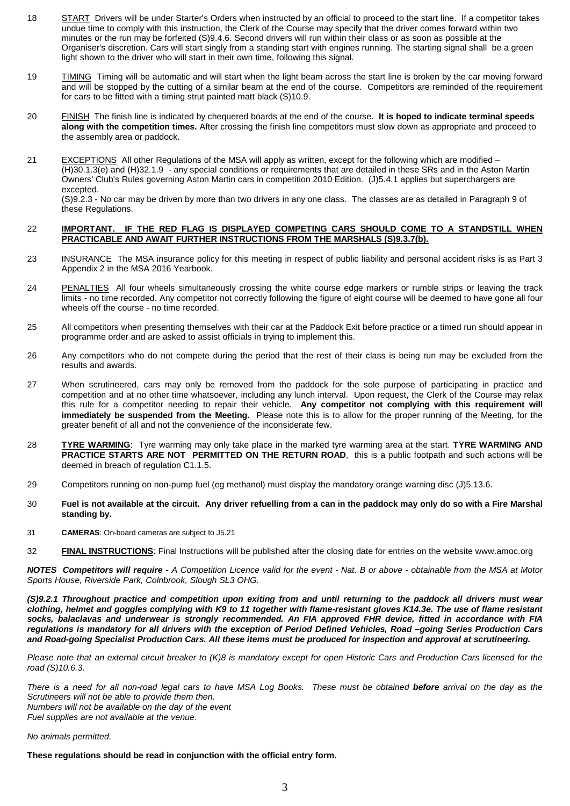- 18 START Drivers will be under Starter's Orders when instructed by an official to proceed to the start line. If a competitor takes undue time to comply with this instruction, the Clerk of the Course may specify that the driver comes forward within two minutes or the run may be forfeited (S)9.4.6. Second drivers will run within their class or as soon as possible at the Organiser's discretion. Cars will start singly from a standing start with engines running. The starting signal shall be a green light shown to the driver who will start in their own time, following this signal.
- 19 TIMING Timing will be automatic and will start when the light beam across the start line is broken by the car moving forward and will be stopped by the cutting of a similar beam at the end of the course. Competitors are reminded of the requirement for cars to be fitted with a timing strut painted matt black (S)10.9.
- 20 FINISH The finish line is indicated by chequered boards at the end of the course. **It is hoped to indicate terminal speeds along with the competition times.** After crossing the finish line competitors must slow down as appropriate and proceed to the assembly area or paddock.
- 21 EXCEPTIONS All other Regulations of the MSA will apply as written, except for the following which are modified (H)30.1.3(e) and (H)32.1.9 - any special conditions or requirements that are detailed in these SRs and in the Aston Martin Owners' Club's Rules governing Aston Martin cars in competition 2010 Edition. (J)5.4.1 applies but superchargers are excepted.

(S)9.2.3 - No car may be driven by more than two drivers in any one class. The classes are as detailed in Paragraph 9 of these Regulations.

### 22 **IMPORTANT. IF THE RED FLAG IS DISPLAYED COMPETING CARS SHOULD COME TO A STANDSTILL WHEN PRACTICABLE AND AWAIT FURTHER INSTRUCTIONS FROM THE MARSHALS (S)9.3.7(b).**

- 23 INSURANCE The MSA insurance policy for this meeting in respect of public liability and personal accident risks is as Part 3 Appendix 2 in the MSA 2016 Yearbook.
- 24 PENALTIES All four wheels simultaneously crossing the white course edge markers or rumble strips or leaving the track limits - no time recorded. Any competitor not correctly following the figure of eight course will be deemed to have gone all four wheels off the course - no time recorded.
- 25 All competitors when presenting themselves with their car at the Paddock Exit before practice or a timed run should appear in programme order and are asked to assist officials in trying to implement this.
- 26 Any competitors who do not compete during the period that the rest of their class is being run may be excluded from the results and awards.
- 27 When scrutineered, cars may only be removed from the paddock for the sole purpose of participating in practice and competition and at no other time whatsoever, including any lunch interval. Upon request, the Clerk of the Course may relax this rule for a competitor needing to repair their vehicle. **Any competitor not complying with this requirement will immediately be suspended from the Meeting.** Please note this is to allow for the proper running of the Meeting, for the greater benefit of all and not the convenience of the inconsiderate few.
- 28 **TYRE WARMING**: Tyre warming may only take place in the marked tyre warming area at the start. **TYRE WARMING AND PRACTICE STARTS ARE NOT PERMITTED ON THE RETURN ROAD**, this is a public footpath and such actions will be deemed in breach of regulation C1.1.5.
- 29 Competitors running on non-pump fuel (eg methanol) must display the mandatory orange warning disc (J)5.13.6.
- 30 **Fuel is not available at the circuit. Any driver refuelling from a can in the paddock may only do so with a Fire Marshal standing by.**
- 31 **CAMERAS**: On-board cameras are subject to J5.21
- 32 **FINAL INSTRUCTIONS**: Final Instructions will be published after the closing date for entries on the website www.amoc.org

*NOTES Competitors will require - A Competition Licence valid for the event - Nat. B or above - obtainable from the MSA at Motor Sports House, Riverside Park, Colnbrook, Slough SL3 OHG.*

*(S)9.2.1 Throughout practice and competition upon exiting from and until returning to the paddock all drivers must wear clothing, helmet and goggles complying with K9 to 11 together with flame-resistant gloves K14.3e. The use of flame resistant socks, balaclavas and underwear is strongly recommended. An FIA approved FHR device, fitted in accordance with FIA regulations is mandatory for all drivers with the exception of Period Defined Vehicles, Road –going Series Production Cars and Road-going Specialist Production Cars. All these items must be produced for inspection and approval at scrutineering.*

*Please note that an external circuit breaker to (K)8 is mandatory except for open Historic Cars and Production Cars licensed for the road (S)10.6.3.*

*There is a need for all non-road legal cars to have MSA Log Books. These must be obtained before arrival on the day as the Scrutineers will not be able to provide them then. Numbers will not be available on the day of the event*

*Fuel supplies are not available at the venue.*

*No animals permitted.*

**These regulations should be read in conjunction with the official entry form.**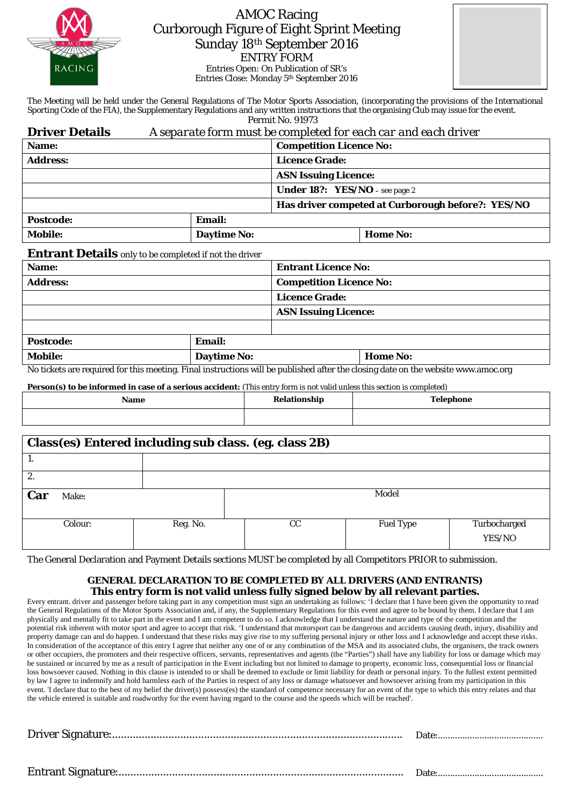

## AMOC Racing Curborough Figure of Eight Sprint Meeting Sunday 18th September 2016 ENTRY FORM Entries Open: On Publication of SR's

Entries Close: Monday 5th September 2016



The Meeting will be held under the General Regulations of The Motor Sports Association, (incorporating the provisions of the International Sporting Code of the FIA), the Supplementary Regulations and any written instructions that the organising Club may issue for the event. Permit No. 91973

| <b>Driver Details</b> | A separate form must be completed for each car and each driver |
|-----------------------|----------------------------------------------------------------|
|                       |                                                                |

| Name:                                                   |        | <b>Competition Licence No:</b>        |                                                   |  |  |  |
|---------------------------------------------------------|--------|---------------------------------------|---------------------------------------------------|--|--|--|
| <b>Address:</b>                                         |        | <b>Licence Grade:</b>                 |                                                   |  |  |  |
|                                                         |        | <b>ASN Issuing Licence:</b>           |                                                   |  |  |  |
|                                                         |        | <b>Under 18?:</b> YES/NO – see page 2 |                                                   |  |  |  |
|                                                         |        |                                       | Has driver competed at Curborough before?: YES/NO |  |  |  |
| <b>Postcode:</b>                                        | Email: |                                       |                                                   |  |  |  |
| <b>Mobile:</b><br><b>Daytime No:</b><br><b>Home No:</b> |        |                                       |                                                   |  |  |  |

## **Entrant Details** only to be completed if not the driver

| <b>Entrant Licence No:</b><br>Name: |                                                                                                                                                                                                                                   |                                |                 |  |  |  |
|-------------------------------------|-----------------------------------------------------------------------------------------------------------------------------------------------------------------------------------------------------------------------------------|--------------------------------|-----------------|--|--|--|
| <b>Address:</b>                     |                                                                                                                                                                                                                                   | <b>Competition Licence No:</b> |                 |  |  |  |
|                                     |                                                                                                                                                                                                                                   | <b>Licence Grade:</b>          |                 |  |  |  |
|                                     |                                                                                                                                                                                                                                   | <b>ASN Issuing Licence:</b>    |                 |  |  |  |
|                                     |                                                                                                                                                                                                                                   |                                |                 |  |  |  |
| <b>Postcode:</b>                    | <b>Email:</b>                                                                                                                                                                                                                     |                                |                 |  |  |  |
| <b>Mobile:</b>                      | <b>Daytime No:</b>                                                                                                                                                                                                                |                                | <b>Home No:</b> |  |  |  |
|                                     | $\mathbf{M}$ and a construction of the construction of the construction of the construction of the construction of the construction of the construction of the construction of the construction of the construction of the constr |                                |                 |  |  |  |

No tickets are required for this meeting. Final instructions will be published after the closing date on the website www.amoc.org

**Person(s) to be informed in case of a serious accident:** (This entry form is not valid unless this section is completed)

| <b>Name</b> | tionship | 'elephone<br>$\sim$ $\sim$ $\sim$ |  |  |  |  |
|-------------|----------|-----------------------------------|--|--|--|--|
|             |          |                                   |  |  |  |  |

| Class(es) Entered including sub class. (eg. class 2B) |          |             |                  |                        |  |  |  |  |
|-------------------------------------------------------|----------|-------------|------------------|------------------------|--|--|--|--|
|                                                       |          |             |                  |                        |  |  |  |  |
| 2.                                                    |          |             |                  |                        |  |  |  |  |
| Car<br>Make:                                          |          | Model       |                  |                        |  |  |  |  |
| Colour:                                               | Reg. No. | $_{\rm CC}$ | <b>Fuel Type</b> | Turbocharged<br>YES/NO |  |  |  |  |

The General Declaration and Payment Details sections MUST be completed by all *Competitors* PRIOR to submission.

## **GENERAL DECLARATION TO BE COMPLETED BY ALL DRIVERS (AND ENTRANTS) This entry form is not valid unless fully signed below by all relevant parties.**

Every entrant. driver and passenger before taking part in any competition must sign an undertaking as follows: 'I declare that I have been given the opportunity to read the General Regulations of the Motor Sports Association and, if any, the Supplementary Regulations for this event and agree to be bound by them. I declare that I am physically and mentally fit to take part in the event and I am competent to do so. I acknowledge that I understand the nature and type of the competition and the potential risk inherent with motor sport and agree to accept that risk. 'I understand that motorsport can be dangerous and accidents causing death, injury, disability and property damage can and do happen. I understand that these risks may give rise to my suffering personal injury or other loss and I acknowledge and accept these risks. In consideration of the acceptance of this entry I agree that neither any one of or any combination of the MSA and its associated clubs, the organisers, the track owners or other occupiers, the promoters and their respective officers, servants, representatives and agents (the "Parties") shall have any liability for loss or damage which may be sustained or incurred by me as a result of participation in the Event including but not limited to damage to property, economic loss, consequential loss or financial loss howsoever caused. Nothing in this clause is intended to or shall be deemed to exclude or limit liability for death or personal injury. To the fullest extent permitted by law I agree to indemnify and hold harmless each of the Parties in respect of any loss or damage whatsoever and howsoever arising from my participation in this event. 'I declare that to the best of my belief the driver(s) possess(es) the standard of competence necessary for an event of the type to which this entry relates and that the vehicle entered is suitable and roadworthy for the event having regard to the course and the speeds which will be reached'.